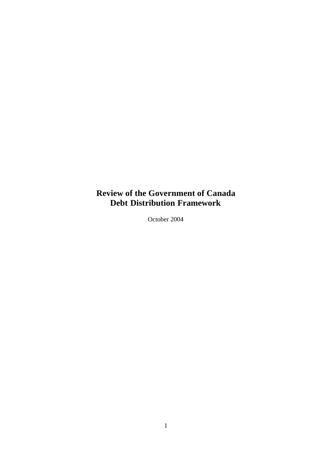# **Review of the Government of Canada Debt Distribution Framework**

October 2004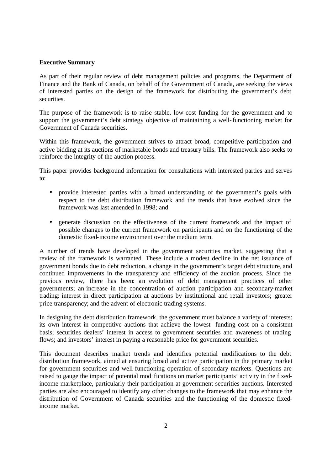#### **Executive Summary**

As part of their regular review of debt management policies and programs, the Department of Finance and the Bank of Canada, on behalf of the Gove rnment of Canada, are seeking the views of interested parties on the design of the framework for distributing the government's debt securities.

The purpose of the framework is to raise stable, low-cost funding for the government and to support the government's debt strategy objective of maintaining a well-functioning market for Government of Canada securities.

Within this framework, the government strives to attract broad, competitive participation and active bidding at its auctions of marketable bonds and treasury bills. The framework also seeks to reinforce the integrity of the auction process.

This paper provides background information for consultations with interested parties and serves to:

- provide interested parties with a broad understanding of the government's goals with respect to the debt distribution framework and the trends that have evolved since the framework was last amended in 1998; and
- generate discussion on the effectiveness of the current framework and the impact of possible changes to the current framework on participants and on the functioning of the domestic fixed-income environment over the medium term.

A number of trends have developed in the government securities market, suggesting that a review of the framework is warranted. These include a modest decline in the net issuance of government bonds due to debt reduction, a change in the government's target debt structure, and continued improvements in the transparency and efficiency of the auction process. Since the previous review, there has been: an evolution of debt management practices of other governments; an increase in the concentration of auction participation and secondary-market trading; interest in direct participation at auctions by institutional and retail investors; greater price transparency; and the advent of electronic trading systems.

In designing the debt distribution framework, the government must balance a variety of interests: its own interest in competitive auctions that achieve the lowest funding cost on a consistent basis; securities dealers' interest in access to government securities and awareness of trading flows; and investors' interest in paying a reasonable price for government securities.

This document describes market trends and identifies potential modifications to the debt distribution framework, aimed at ensuring broad and active participation in the primary market for government securities and well-functioning operation of secondary markets. Questions are raised to gauge the impact of potential modifications on market participants' activity in the fixedincome marketplace, particularly their participation at government securities auctions. Interested parties are also encouraged to identify any other changes to the framework that may enhance the distribution of Government of Canada securities and the functioning of the domestic fixedincome market.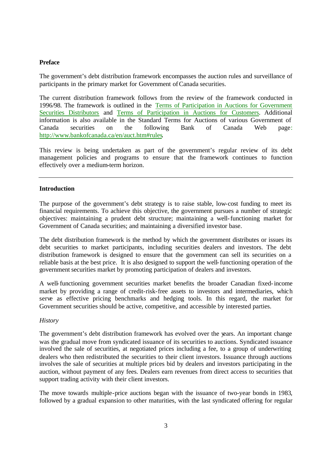#### **Preface**

The government's debt distribution framework encompasses the auction rules and surveillance of participants in the primary market for Government of Canada securities.

The current distribution framework follows from the review of the framework conducted in 1996/98. The framework is outlined in the [Terms of Participation in Auctions for Government](http://www.bankofcanada.ca/en/auction/aucpa1.pdf)  [Securities Distributors](http://www.bankofcanada.ca/en/auction/aucpa1.pdf) and [Terms of Participation in](http://www.bankofcanada.ca/en/auction/aucpa2.pdf) Auctions for Customers. Additional information is also available in the Standard Terms for Auctions of various Government of Canada securities on the following Bank of Canada Web page: [http://www.bankofcanada.ca/en/auct.htm#rules.](http://www.bankofcanada.ca/en/auct.htm#rules)

This review is being undertaken as part of the government's regular review of its debt management policies and programs to ensure that the framework continues to function effectively over a medium-term horizon.

#### **Introduction**

The purpose of the government's debt strategy is to raise stable, low-cost funding to meet its financial requirements. To achieve this objective, the government pursues a number of strategic objectives: maintaining a prudent debt structure; maintaining a well-functioning market for Government of Canada securities; and maintaining a diversified investor base.

The debt distribution framework is the method by which the government distributes or issues its debt securities to market participants, including securities dealers and investors. The debt distribution framework is designed to ensure that the government can sell its securities on a reliable basis at the best price. It is also designed to support the well-functioning operation of the government securities market by promoting participation of dealers and investors.

A well-functioning government securities market benefits the broader Canadian fixed-income market by providing a range of credit-risk-free assets to investors and intermediaries, which serve as effective pricing benchmarks and hedging tools. In this regard, the market for Government securities should be active, competitive, and accessible by interested parties.

#### *History*

The government's debt distribution framework has evolved over the years. An important change was the gradual move from syndicated issuance of its securities to auctions. Syndicated issuance involved the sale of securities, at negotiated prices including a fee, to a group of underwriting dealers who then redistributed the securities to their client investors. Issuance through auctions involves the sale of securities at multiple prices bid by dealers and investors participating in the auction, without payment of any fees. Dealers earn revenues from direct access to securities that support trading activity with their client investors.

The move towards multiple-price auctions began with the issuance of two-year bonds in 1983, followed by a gradual expansion to other maturities, with the last syndicated offering for regular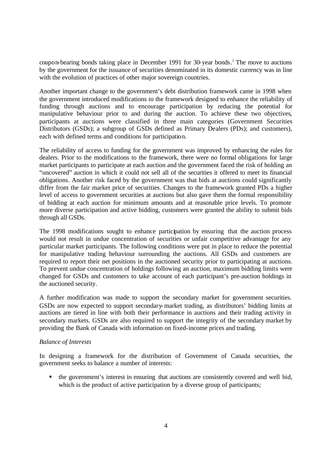coupon-bearing bonds taking place in December 1991 for 30-year bonds.<sup>1</sup> The move to auctions by the government for the issuance of securities denominated in its domestic currency was in line with the evolution of practices of other major sovereign countries.

Another important change to the government's debt distribution framework came in 1998 when the government introduced modifications to the framework designed to enhance the reliability of funding through auctions and to encourage participation by reducing the potential for manipulative behaviour prior to and during the auction. To achieve these two objectives, participants at auctions were classified in three main categories (Government Securities Distributors (GSDs); a subgroup of GSDs defined as Primary Dealers (PDs); and customers), each with defined terms and conditions for participation.

The reliability of access to funding for the government was improved by enhancing the rules for dealers. Prior to the modifications to the framework, there were no formal obligations for large market participants to participate at each auction and the government faced the risk of holding an "uncovered" auction in which it could not sell all of the securities it offered to meet its financial obligations. Another risk faced by the government was that bids at auctions could significantly differ from the fair market price of securities. Changes to the framework granted PDs a higher level of access to government securities at auctions but also gave them the formal responsibility of bidding at each auction for minimum amounts and at reasonable price levels. To promote more diverse participation and active bidding, customers were granted the ability to submit bids through all GSDs.

The 1998 modifications sought to enhance participation by ensuring that the auction process would not result in undue concentration of securities or unfair competitive advantage for any particular market participants. The following conditions were put in place to reduce the potential for manipulative trading behaviour surrounding the auctions. All GSDs and customers are required to report their net positions in the auctioned security prior to participating at auctions. To prevent undue concentration of holdings following an auction, maximum bidding limits were changed for GSDs and customers to take account of each participant's pre-auction holdings in the auctioned security.

A further modification was made to support the secondary market for government securities. GSDs are now expected to support secondary-market trading, as distributors' bidding limits at auctions are tiered in line with both their performance in auctions and their trading activity in secondary markets. GSDs are also required to support the integrity of the secondary market by providing the Bank of Canada with information on fixed-income prices and trading.

#### *Balance of Interests*

In designing a framework for the distribution of Government of Canada securities, the government seeks to balance a number of interests:

ß the government's interest in ensuring that auctions are consistently covered and well bid, which is the product of active participation by a diverse group of participants;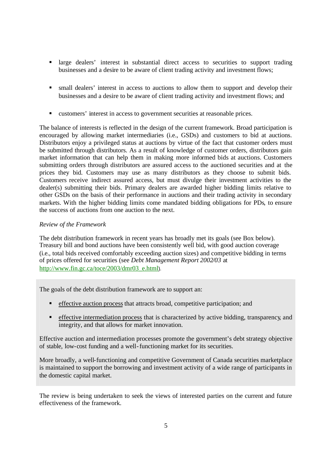- **If all interest in substantial direct access to securities to support trading** businesses and a desire to be aware of client trading activity and investment flows;
- small dealers' interest in access to auctions to allow them to support and develop their businesses and a desire to be aware of client trading activity and investment flows; and
- ß customers' interest in access to government securities at reasonable prices.

The balance of interests is reflected in the design of the current framework. Broad participation is encouraged by allowing market intermediaries (i.e., GSDs) and customers to bid at auctions. Distributors enjoy a privileged status at auctions by virtue of the fact that customer orders must be submitted through distributors. As a result of knowledge of customer orders, distributors gain market information that can help them in making more informed bids at auctions. Customers submitting orders through distributors are assured access to the auctioned securities and at the prices they bid. Customers may use as many distributors as they choose to submit bids. Customers receive indirect assured access, but must divulge their investment activities to the dealer(s) submitting their bids. Primary dealers are awarded higher bidding limits relative to other GSDs on the basis of their performance in auctions and their trading activity in secondary markets. With the higher bidding limits come mandated bidding obligations for PDs, to ensure the success of auctions from one auction to the next.

## *Review of the Framework*

The debt distribution framework in recent years has broadly met its goals (see Box below). Treasury bill and bond auctions have been consistently well bid, with good auction coverage (i.e., total bids received comfortably exceeding auction sizes) and competitive bidding in terms of prices offered for securities (see *Debt Management Report 2002/03* at [http://www.fin.gc.ca/toce/2003/dmr03\\_e.html](http://www.fin.gc.ca/toce/2003/dmr03_e.html)).

The goals of the debt distribution framework are to support an:

- $\blacksquare$  effective auction process that attracts broad, competitive participation; and
- $\blacksquare$  effective intermediation process that is characterized by active bidding, transparency, and integrity, and that allows for market innovation.

Effective auction and intermediation processes promote the government's debt strategy objective of stable, low-cost funding and a well-functioning market for its securities.

More broadly, a well-functioning and competitive Government of Canada securities marketplace is maintained to support the borrowing and investment activity of a wide range of participants in the domestic capital market.

The review is being undertaken to seek the views of interested parties on the current and future effectiveness of the framework.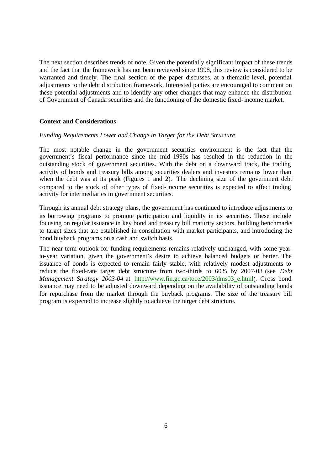The next section describes trends of note. Given the potentially significant impact of these trends and the fact that the framework has not been reviewed since 1998, this review is considered to be warranted and timely. The final section of the paper discusses, at a thematic level, potential adjustments to the debt distribution framework. Interested parties are encouraged to comment on these potential adjustments and to identify any other changes that may enhance the distribution of Government of Canada securities and the functioning of the domestic fixed-income market.

#### **Context and Considerations**

#### *Funding Requirements Lower and Change in Target for the Debt Structure*

The most notable change in the government securities environment is the fact that the government's fiscal performance since the mid-1990s has resulted in the reduction in the outstanding stock of government securities. With the debt on a downward track, the trading activity of bonds and treasury bills among securities dealers and investors remains lower than when the debt was at its peak (Figures  $1$  and 2). The declining size of the government debt compared to the stock of other types of fixed-income securities is expected to affect trading activity for intermediaries in government securities.

Through its annual debt strategy plans, the government has continued to introduce adjustments to its borrowing programs to promote participation and liquidity in its securities. These include focusing on regular issuance in key bond and treasury bill maturity sectors, building benchmarks to target sizes that are established in consultation with market participants, and introducing the bond buyback programs on a cash and switch basis.

The near-term outlook for funding requirements remains relatively unchanged, with some yearto-year variation, given the government's desire to achieve balanced budgets or better. The issuance of bonds is expected to remain fairly stable, with relatively modest adjustments to reduce the fixed-rate target debt structure from two-thirds to 60% by 2007-08 (see *Debt Management Strategy 2003-04* at http://www.fin.gc.ca/toce/2003/dms03 e.html). Gross bond issuance may need to be adjusted downward depending on the availability of outstanding bonds for repurchase from the market through the buyback programs. The size of the treasury bill program is expected to increase slightly to achieve the target debt structure.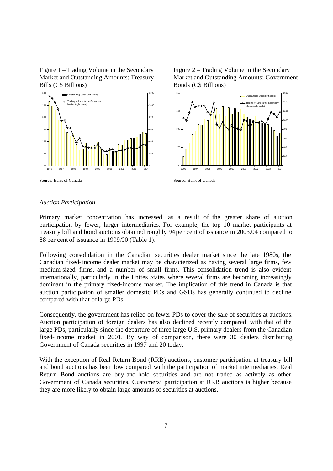Figure 1 –Trading Volume in the Secondary Market and Outstanding Amounts: Treasury Bills (C\$ Billions)







Source: Bank of Canada

## *Auction Participation*

Source: Bank of Canada

Primary market concentration has increased, as a result of the greater share of auction participation by fewer, larger intermediaries. For example, the top 10 market participants at treasury bill and bond auctions obtained roughly 94 per cent of issuance in 2003/04 compared to 88 per cent of issuance in 1999/00 (Table 1).

Following consolidation in the Canadian securities dealer market since the late 1980s, the Canadian fixed-income dealer market may be characterized as having several large firms, few medium-sized firms, and a number of small firms. This consolidation trend is also evident internationally, particularly in the Unites States where several firms are becoming increasingly dominant in the primary fixed-income market. The implication of this trend in Canada is that auction participation of smaller domestic PDs and GSDs has generally continued to decline compared with that of large PDs.

Consequently, the government has relied on fewer PDs to cover the sale of securities at auctions. Auction participation of foreign dealers has also declined recently compared with that of the large PDs, particularly since the departure of three large U.S. primary dealers from the Canadian fixed-income market in 2001. By way of comparison, there were 30 dealers distributing Government of Canada securities in 1997 and 20 today.

With the exception of Real Return Bond (RRB) auctions, customer participation at treasury bill and bond auctions has been low compared with the participation of market intermediaries. Real Return Bond auctions are buy-and-hold securities and are not traded as actively as other Government of Canada securities. Customers' participation at RRB auctions is higher because they are more likely to obtain large amounts of securities at auctions.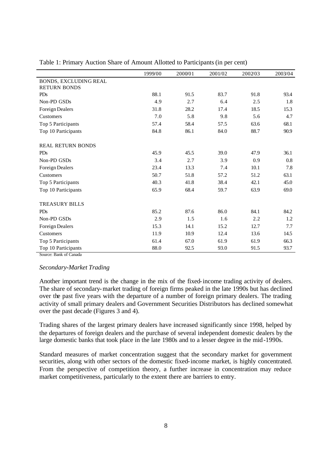|                          | 1999/00 | 2000/01 | 2001/02 | 2002/03 | 2003/04 |
|--------------------------|---------|---------|---------|---------|---------|
| BONDS, EXCLUDING REAL    |         |         |         |         |         |
| <b>RETURN BONDS</b>      |         |         |         |         |         |
| <b>PDs</b>               | 88.1    | 91.5    | 83.7    | 91.8    | 93.4    |
| Non-PD GSDs              | 4.9     | 2.7     | 6.4     | 2.5     | 1.8     |
| Foreign Dealers          | 31.8    | 28.2    | 17.4    | 18.5    | 15.3    |
| Customers                | 7.0     | 5.8     | 9.8     | 5.6     | 4.7     |
| Top 5 Participants       | 57.4    | 58.4    | 57.5    | 63.6    | 68.1    |
| Top 10 Participants      | 84.8    | 86.1    | 84.0    | 88.7    | 90.9    |
| <b>REAL RETURN BONDS</b> |         |         |         |         |         |
| <b>PDs</b>               | 45.9    | 45.5    | 39.0    | 47.9    | 36.1    |
| Non-PD GSDs              | 3.4     | 2.7     | 3.9     | 0.9     | 0.8     |
| Foreign Dealers          | 23.4    | 13.3    | 7.4     | 10.1    | 7.8     |
| Customers                | 50.7    | 51.8    | 57.2    | 51.2    | 63.1    |
| Top 5 Participants       | 40.3    | 41.8    | 38.4    | 42.1    | 45.0    |
| Top 10 Participants      | 65.9    | 68.4    | 59.7    | 63.9    | 69.0    |
| <b>TREASURY BILLS</b>    |         |         |         |         |         |
| <b>PDs</b>               | 85.2    | 87.6    | 86.0    | 84.1    | 84.2    |
| Non-PD GSDs              | 2.9     | 1.5     | 1.6     | 2.2     | 1.2     |
| Foreign Dealers          | 15.3    | 14.1    | 15.2    | 12.7    | 7.7     |
| Customers                | 11.9    | 10.9    | 12.4    | 13.6    | 14.5    |
| Top 5 Participants       | 61.4    | 67.0    | 61.9    | 61.9    | 66.3    |
| Top 10 Participants      | 88.0    | 92.5    | 93.0    | 91.5    | 93.7    |

Table 1: Primary Auction Share of Amount Allotted to Participants (in per cent)

Source: Bank of Canada

## *Secondary-Market Trading*

Another important trend is the change in the mix of the fixed-income trading activity of dealers. The share of secondary-market trading of foreign firms peaked in the late 1990s but has declined over the past five years with the departure of a number of foreign primary dealers. The trading activity of small primary dealers and Government Securities Distributors has declined somewhat over the past decade (Figures 3 and 4).

Trading shares of the largest primary dealers have increased significantly since 1998, helped by the departures of foreign dealers and the purchase of several independent domestic dealers by the large domestic banks that took place in the late 1980s and to a lesser degree in the mid-1990s.

Standard measures of market concentration suggest that the secondary market for government securities, along with other sectors of the domestic fixed-income market, is highly concentrated. From the perspective of competition theory, a further increase in concentration may reduce market competitiveness, particularly to the extent there are barriers to entry.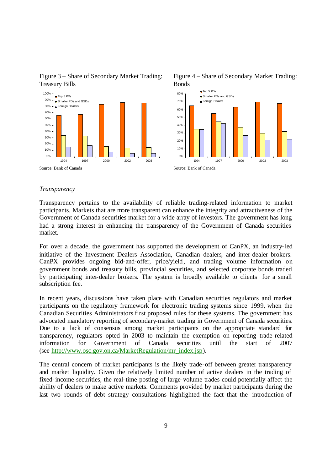

Bonds

Figure 4 – Share of Secondary Market Trading:

## Figure 3 – Share of Secondary Market Trading: Treasury Bills

#### *Transparency*

Transparency pertains to the availability of reliable trading-related information to market participants. Markets that are more transparent can enhance the integrity and attractiveness of the Government of Canada securities market for a wide array of investors. The government has long had a strong interest in enhancing the transparency of the Government of Canada securities market.

For over a decade, the government has supported the development of CanPX, an industry-led initiative of the Investment Dealers Association, Canadian dealers, and inter-dealer brokers. CanPX provides ongoing bid-and-offer, price/yield, and trading volume information on government bonds and treasury bills, provincial securities, and selected corporate bonds traded by participating inter-dealer brokers. The system is broadly available to clients for a small subscription fee.

In recent years, discussions have taken place with Canadian securities regulators and market participants on the regulatory framework for electronic trading systems since 1999, when the Canadian Securities Administrators first proposed rules for these systems. The government has advocated mandatory reporting of secondary-market trading in Government of Canada securities. Due to a lack of consensus among market participants on the appropriate standard for transparency, regulators opted in 2003 to maintain the exemption on reporting trade-related information for Government of Canada securities until the start of 2007 (see [http://www.osc.gov.on.ca/MarketRegulation/mr\\_index.jsp](http://www.osc.gov.on.ca/MarketRegulation/mr_index.jsp)).

The central concern of market participants is the likely trade-off between greater transparency and market liquidity. Given the relatively limited number of active dealers in the trading of fixed-income securities, the real-time posting of large-volume trades could potentially affect the ability of dealers to make active markets. Comments provided by market participants during the last two rounds of debt strategy consultations highlighted the fact that the introduction of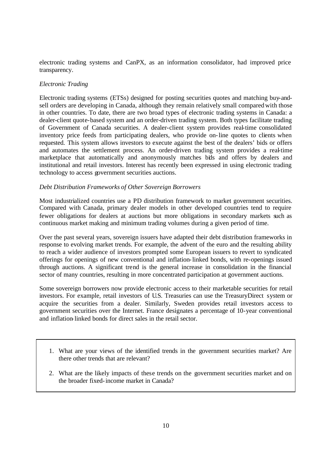electronic trading systems and CanPX, as an information consolidator, had improved price transparency.

## *Electronic Trading*

Electronic trading systems (ETSs) designed for posting securities quotes and matching buy-andsell orders are developing in Canada, although they remain relatively small compared with those in other countries. To date, there are two broad types of electronic trading systems in Canada: a dealer-client quote-based system and an order-driven trading system. Both types facilitate trading of Government of Canada securities. A dealer-client system provides real-time consolidated inventory price feeds from participating dealers, who provide on-line quotes to clients when requested. This system allows investors to execute against the best of the dealers' bids or offers and automates the settlement process. An order-driven trading system provides a real-time marketplace that automatically and anonymously matches bids and offers by dealers and institutional and retail investors. Interest has recently been expressed in using electronic trading technology to access government securities auctions.

## *Debt Distribution Frameworks of Other Sovereign Borrowers*

Most industrialized countries use a PD distribution framework to market government securities. Compared with Canada, primary dealer models in other developed countries tend to require fewer obligations for dealers at auctions but more obligations in secondary markets such as continuous market making and minimum trading volumes during a given period of time.

Over the past several years, sovereign issuers have adapted their debt distribution frameworks in response to evolving market trends. For example, the advent of the euro and the resulting ability to reach a wider audience of investors prompted some European issuers to revert to syndicated offerings for openings of new conventional and inflation-linked bonds, with re-openings issued through auctions. A significant trend is the general increase in consolidation in the financial sector of many countries, resulting in more concentrated participation at government auctions.

Some sovereign borrowers now provide electronic access to their marketable securities for retail investors. For example, retail investors of U.S. Treasuries can use the TreasuryDirect system or acquire the securities from a dealer. Similarly, Sweden provides retail investors access to government securities over the Internet. France designates a percentage of 10-year conventional and inflation-linked bonds for direct sales in the retail sector.

- 1. What are your views of the identified trends in the government securities market? Are there other trends that are relevant?
- 2. What are the likely impacts of these trends on the government securities market and on the broader fixed-income market in Canada?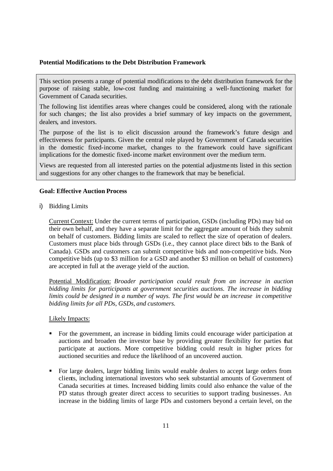#### **Potential Modifications to the Debt Distribution Framework**

This section presents a range of potential modifications to the debt distribution framework for the purpose of raising stable, low-cost funding and maintaining a well-functioning market for Government of Canada securities.

The following list identifies areas where changes could be considered, along with the rationale for such changes; the list also provides a brief summary of key impacts on the government, dealers, and investors.

The purpose of the list is to elicit discussion around the framework's future design and effectiveness for participants. Given the central role played by Government of Canada securities in the domestic fixed-income market, changes to the framework could have significant implications for the domestic fixed-income market environment over the medium term.

Views are requested from all interested parties on the potential adjustments listed in this section and suggestions for any other changes to the framework that may be beneficial.

#### **Goal: Effective Auction Process**

i) Bidding Limits

Current Context: Under the current terms of participation, GSDs (including PDs) may bid on their own behalf, and they have a separate limit for the aggregate amount of bids they submit on behalf of customers. Bidding limits are scaled to reflect the size of operation of dealers. Customers must place bids through GSDs (i.e., they cannot place direct bids to the Bank of Canada). GSDs and customers can submit competitive bids and non-competitive bids. Noncompetitive bids (up to \$3 million for a GSD and another \$3 million on behalf of customers) are accepted in full at the average yield of the auction.

Potential Modification: *Broader participation could result from an increase in auction bidding limits for participants at government securities auctions. The increase in bidding limits could be designed in a number of ways. The first would be an increase in competitive bidding limits for all PDs, GSDs, and customers.*

#### Likely Impacts:

- ß For the government, an increase in bidding limits could encourage wider participation at auctions and broaden the investor base by providing greater flexibility for parties that participate at auctions. More competitive bidding could result in higher prices for auctioned securities and reduce the likelihood of an uncovered auction.
- ß For large dealers, larger bidding limits would enable dealers to accept large orders from clients, including international investors who seek substantial amounts of Government of Canada securities at times. Increased bidding limits could also enhance the value of the PD status through greater direct access to securities to support trading businesses. An increase in the bidding limits of large PDs and customers beyond a certain level, on the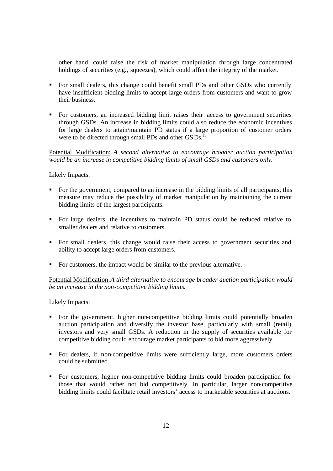other hand, could raise the risk of market manipulation through large concentrated holdings of securities (e.g., squeezes), which could affect the integrity of the market.

- **For small dealers, this change could benefit small PDs and other GSDs who currently** have insufficient bidding limits to accept large orders from customers and want to grow their business.
- For customers, an increased bidding limit raises their access to government securities through GSDs. An increase in bidding limits could also reduce the economic incentives for large dealers to attain/maintain PD status if a large proportion of customer orders were to be directed through small PDs and other GSDs.<sup>ii</sup>

Potential Modification: *A second alternative to encourage broader auction participation would be an increase in competitive bidding limits of small GSDs and customers only.* 

#### Likely Impacts:

- For the government, compared to an increase in the bidding limits of all participants, this measure may reduce the possibility of market manipulation by maintaining the current bidding limits of the largest participants.
- ß For large dealers, the incentives to maintain PD status could be reduced relative to smaller dealers and relative to customers.
- ß For small dealers, this change would raise their access to government securities and ability to accept large orders from customers.
- For customers, the impact would be similar to the previous alternative.

Potential Modification:*A third alternative to encourage broader auction participation would be an increase in the non-competitive bidding limits.* 

#### Likely Impacts:

- ß For the government, higher non-competitive bidding limits could potentially broaden auction particip ation and diversify the investor base, particularly with small (retail) investors and very small GSDs. A reduction in the supply of securities available for competitive bidding could encourage market participants to bid more aggressively.
- For dealers, if non-competitive limits were sufficiently large, more customers orders could be submitted.
- ß For customers, higher non-competitive bidding limits could broaden participation for those that would rather not bid competitively. In particular, larger non-competitive bidding limits could facilitate retail investors' access to marketable securities at auctions.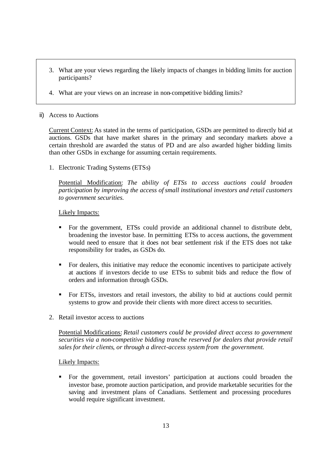- 3. What are your views regarding the likely impacts of changes in bidding limits for auction participants?
- 4. What are your views on an increase in non-competitive bidding limits?

## ii) Access to Auctions

Current Context: As stated in the terms of participation, GSDs are permitted to directly bid at auctions. GSDs that have market shares in the primary and secondary markets above a certain threshold are awarded the status of PD and are also awarded higher bidding limits than other GSDs in exchange for assuming certain requirements.

1. Electronic Trading Systems (ETSs)

Potential Modification: *The ability of ETSs to access auctions could broaden participation by improving the access of small institutional investors and retail customers to government securities.* 

#### Likely Impacts:

- ß For the government, ETSs could provide an additional channel to distribute debt, broadening the investor base. In permitting ETSs to access auctions, the government would need to ensure that it does not bear settlement risk if the ETS does not take responsibility for trades, as GSDs do.
- For dealers, this initiative may reduce the economic incentives to participate actively at auctions if investors decide to use ETSs to submit bids and reduce the flow of orders and information through GSDs.
- ß For ETSs, investors and retail investors, the ability to bid at auctions could permit systems to grow and provide their clients with more direct access to securities.
- 2. Retail investor access to auctions

Potential Modifications: *Retail customers could be provided direct access to government securities via a non-competitive bidding tranche reserved for dealers that provide retail sales for their clients, or through a direct-access system from the government.*

#### Likely Impacts:

ß For the government, retail investors' participation at auctions could broaden the investor base, promote auction participation, and provide marketable securities for the saving and investment plans of Canadians. Settlement and processing procedures would require significant investment.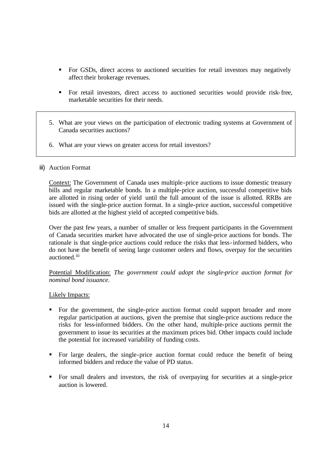- For GSDs, direct access to auctioned securities for retail investors may negatively affect their brokerage revenues.
- ß For retail investors, direct access to auctioned securities would provide risk-free, marketable securities for their needs.
- 5. What are your views on the participation of electronic trading systems at Government of Canada securities auctions?
- 6. What are your views on greater access for retail investors?

#### iii) Auction Format

Context: The Government of Canada uses multiple-price auctions to issue domestic treasury bills and regular marketable bonds. In a multiple-price auction, successful competitive bids are allotted in rising order of yield until the full amount of the issue is allotted. RRBs are issued with the single-price auction format. In a single-price auction, successful competitive bids are allotted at the highest yield of accepted competitive bids.

Over the past few years, a number of smaller or less frequent participants in the Government of Canada securities market have advocated the use of single-price auctions for bonds. The rationale is that single-price auctions could reduce the risks that less-informed bidders, who do not have the benefit of seeing large customer orders and flows, overpay for the securities auctioned.<sup>iii</sup>

Potential Modification: *The government could adopt the single-price auction format for nominal bond issuance.*

#### Likely Impacts:

- For the government, the single-price auction format could support broader and more regular participation at auctions, given the premise that single-price auctions reduce the risks for less-informed bidders. On the other hand, multiple-price auctions permit the government to issue its securities at the maximum prices bid. Other impacts could include the potential for increased variability of funding costs.
- ß For large dealers, the single-price auction format could reduce the benefit of being informed bidders and reduce the value of PD status.
- ß For small dealers and investors, the risk of overpaying for securities at a single-price auction is lowered.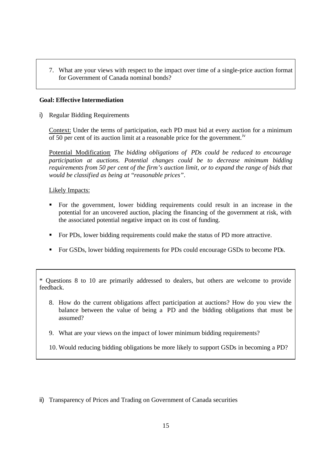7. What are your views with respect to the impact over time of a single-price auction format for Government of Canada nominal bonds?

## **Goal: Effective Intermediation**

i) Regular Bidding Requirements

Context: Under the terms of participation, each PD must bid at every auction for a minimum of 50 per cent of its auction limit at a reasonable price for the government.<sup>iv</sup>

Potential Modification: *The bidding obligations of PDs could be reduced to encourage participation at auctions. Potential changes could be to decrease minimum bidding requirements from 50 per cent of the firm's auction limit, or to expand the range of bids that would be classified as being at "reasonable prices".*

## Likely Impacts:

- ß For the government, lower bidding requirements could result in an increase in the potential for an uncovered auction, placing the financing of the government at risk, with the associated potential negative impact on its cost of funding.
- **For PDs, lower bidding requirements could make the status of PD more attractive.**
- For GSDs, lower bidding requirements for PDs could encourage GSDs to become PDs.

\* Questions 8 to 10 are primarily addressed to dealers, but others are welcome to provide feedback.

- 8. How do the current obligations affect participation at auctions? How do you view the balance between the value of being a PD and the bidding obligations that must be assumed?
- 9. What are your views on the impact of lower minimum bidding requirements?
- 10. Would reducing bidding obligations be more likely to support GSDs in becoming a PD?

ii) Transparency of Prices and Trading on Government of Canada securities